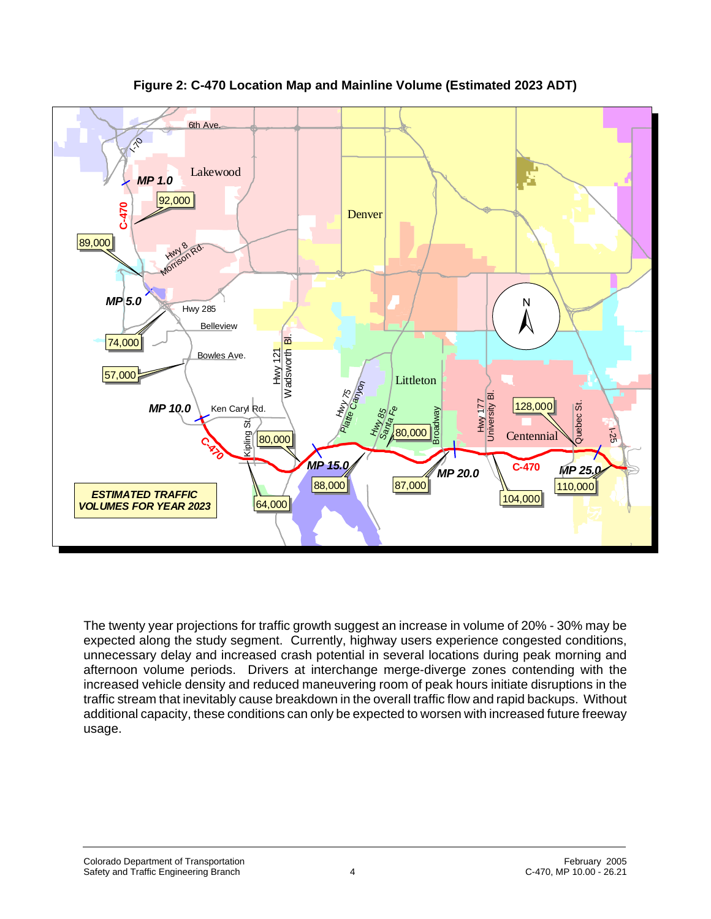

**Figure 2: C-470 Location Map and Mainline Volume (Estimated 2023 ADT)**

The twenty year projections for traffic growth suggest an increase in volume of 20% - 30% may be expected along the study segment. Currently, highway users experience congested conditions, unnecessary delay and increased crash potential in several locations during peak morning and afternoon volume periods. Drivers at interchange merge-diverge zones contending with the increased vehicle density and reduced maneuvering room of peak hours initiate disruptions in the traffic stream that inevitably cause breakdown in the overall traffic flow and rapid backups. Without additional capacity, these conditions can only be expected to worsen with increased future freeway usage.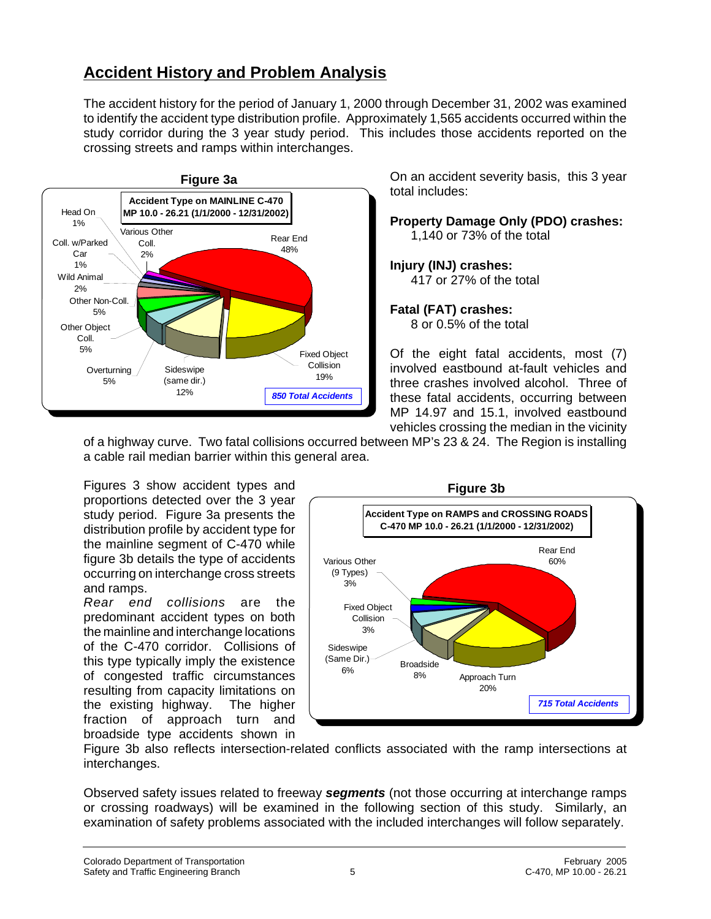# **Accident History and Problem Analysis**

The accident history for the period of January 1, 2000 through December 31, 2002 was examined to identify the accident type distribution profile. Approximately 1,565 accidents occurred within the study corridor during the 3 year study period. This includes those accidents reported on the crossing streets and ramps within interchanges.



On an accident severity basis, this 3 year total includes:

**Property Damage Only (PDO) crashes:** 1,140 or 73% of the total

**Injury (INJ) crashes:** 417 or 27% of the total

#### **Fatal (FAT) crashes:**

8 or 0.5% of the total

Of the eight fatal accidents, most (7) involved eastbound at-fault vehicles and three crashes involved alcohol. Three of these fatal accidents, occurring between MP 14.97 and 15.1, involved eastbound vehicles crossing the median in the vicinity

of a highway curve. Two fatal collisions occurred between MP's 23 & 24. The Region is installing a cable rail median barrier within this general area.

Figures 3 show accident types and proportions detected over the 3 year study period. Figure 3a presents the distribution profile by accident type for the mainline segment of C-470 while figure 3b details the type of accidents occurring on interchange cross streets and ramps.

*Rear end collisions* are the predominant accident types on both the mainline and interchange locations of the C-470 corridor. Collisions of this type typically imply the existence of congested traffic circumstances resulting from capacity limitations on the existing highway. The higher fraction of approach turn and broadside type accidents shown in



Figure 3b also reflects intersection-related conflicts associated with the ramp intersections at interchanges.

Observed safety issues related to freeway *segments* (not those occurring at interchange ramps or crossing roadways) will be examined in the following section of this study. Similarly, an examination of safety problems associated with the included interchanges will follow separately.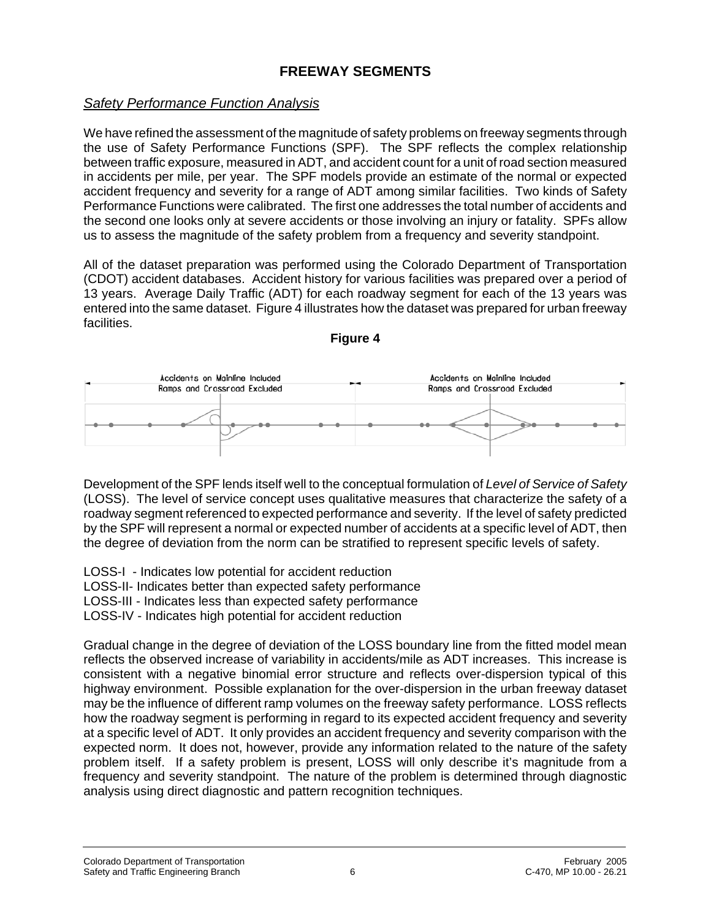## **FREEWAY SEGMENTS**

## *Safety Performance Function Analysis*

We have refined the assessment of the magnitude of safety problems on freeway segments through the use of Safety Performance Functions (SPF). The SPF reflects the complex relationship between traffic exposure, measured in ADT, and accident count for a unit of road section measured in accidents per mile, per year. The SPF models provide an estimate of the normal or expected accident frequency and severity for a range of ADT among similar facilities. Two kinds of Safety Performance Functions were calibrated. The first one addresses the total number of accidents and the second one looks only at severe accidents or those involving an injury or fatality. SPFs allow us to assess the magnitude of the safety problem from a frequency and severity standpoint.

All of the dataset preparation was performed using the Colorado Department of Transportation (CDOT) accident databases. Accident history for various facilities was prepared over a period of 13 years. Average Daily Traffic (ADT) for each roadway segment for each of the 13 years was entered into the same dataset. Figure 4 illustrates how the dataset was prepared for urban freeway facilities.

**Figure 4**



Development of the SPF lends itself well to the conceptual formulation of *Level of Service of Safety* (LOSS). The level of service concept uses qualitative measures that characterize the safety of a roadway segment referenced to expected performance and severity. If the level of safety predicted by the SPF will represent a normal or expected number of accidents at a specific level of ADT, then the degree of deviation from the norm can be stratified to represent specific levels of safety.

LOSS-I - Indicates low potential for accident reduction LOSS-II- Indicates better than expected safety performance LOSS-III - Indicates less than expected safety performance LOSS-IV - Indicates high potential for accident reduction

Gradual change in the degree of deviation of the LOSS boundary line from the fitted model mean reflects the observed increase of variability in accidents/mile as ADT increases. This increase is consistent with a negative binomial error structure and reflects over-dispersion typical of this highway environment. Possible explanation for the over-dispersion in the urban freeway dataset may be the influence of different ramp volumes on the freeway safety performance. LOSS reflects how the roadway segment is performing in regard to its expected accident frequency and severity at a specific level of ADT. It only provides an accident frequency and severity comparison with the expected norm. It does not, however, provide any information related to the nature of the safety problem itself. If a safety problem is present, LOSS will only describe it's magnitude from a frequency and severity standpoint. The nature of the problem is determined through diagnostic analysis using direct diagnostic and pattern recognition techniques.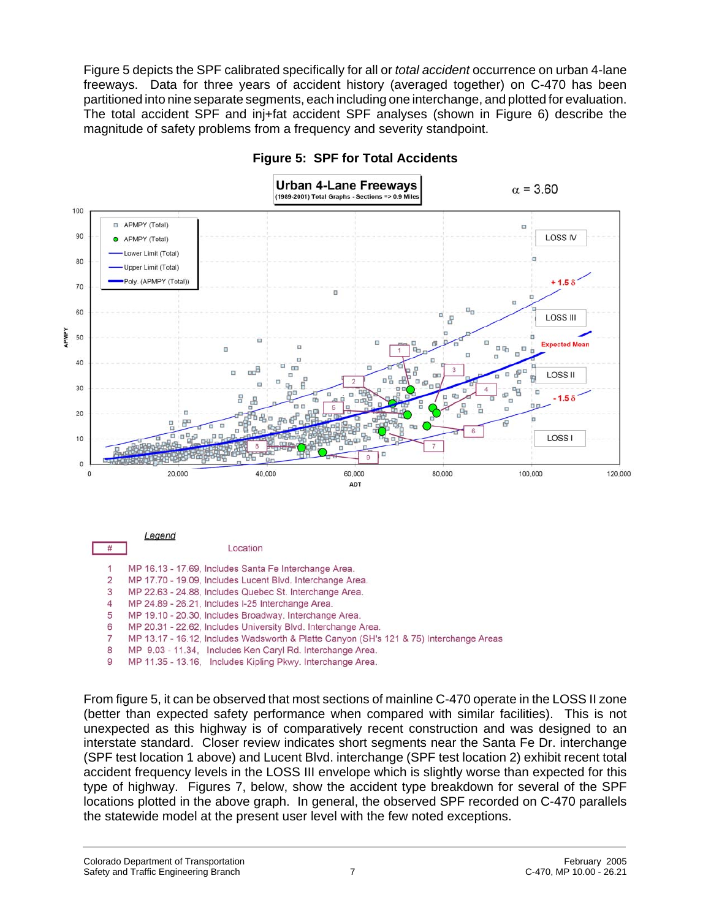Figure 5 depicts the SPF calibrated specifically for all or *total accident* occurrence on urban 4-lane freeways. Data for three years of accident history (averaged together) on C-470 has been partitioned into nine separate segments, each including one interchange, and plotted for evaluation. The total accident SPF and inj+fat accident SPF analyses (shown in Figure 6) describe the magnitude of safety problems from a frequency and severity standpoint.



### **Figure 5: SPF for Total Accidents**

6 MP 20.31 - 22.62, Includes University Blvd. Interchange Area.

 $\overline{7}$ MP 13.17 - 16.12. Includes Wadsworth & Platte Canyon (SH's 121 & 75) Interchange Areas

MP 9.03 - 11.34, Includes Ken Caryl Rd. Interchange Area. 8

9 MP 11.35 - 13.16, Includes Kipling Pkwy. Interchange Area.

From figure 5, it can be observed that most sections of mainline C-470 operate in the LOSS II zone (better than expected safety performance when compared with similar facilities). This is not unexpected as this highway is of comparatively recent construction and was designed to an interstate standard. Closer review indicates short segments near the Santa Fe Dr. interchange (SPF test location 1 above) and Lucent Blvd. interchange (SPF test location 2) exhibit recent total accident frequency levels in the LOSS III envelope which is slightly worse than expected for this type of highway. Figures 7, below, show the accident type breakdown for several of the SPF locations plotted in the above graph. In general, the observed SPF recorded on C-470 parallels the statewide model at the present user level with the few noted exceptions.